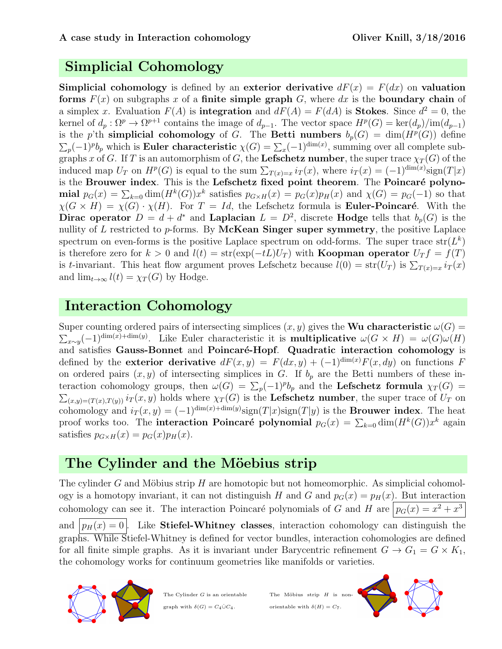# Simplicial Cohomology

**Simplicial cohomology** is defined by an exterior derivative  $dF(x) = F(dx)$  on valuation forms  $F(x)$  on subgraphs x of a finite simple graph G, where dx is the boundary chain of a simplex x. Evaluation  $F(A)$  is **integration** and  $dF(A) = F(dA)$  is **Stokes**. Since  $d^2 = 0$ , the kernel of  $d_p: \Omega^p \to \Omega^{p+1}$  contains the image of  $d_{p-1}$ . The vector space  $H^p(G) = \text{ker}(d_p)/\text{im}(d_{p-1})$ is the p'th simplicial cohomology of G. The Betti numbers  $b_p(G) = \dim(H^p(G))$  define  $\sum_p (-1)^p b_p$  which is **Euler characteristic**  $\chi(G) = \sum_x (-1)^{\dim(x)}$ , summing over all complete subgraphs x of G. If T is an automorphism of G, the Lefschetz number, the super trace  $\chi_T(G)$  of the induced map  $U_T$  on  $H^p(G)$  is equal to the sum  $\sum_{T(x)=x} i_T(x)$ , where  $i_T(x) = (-1)^{\dim(x)} sign(T|x)$ is the Brouwer index. This is the Lefschetz fixed point theorem. The Poincaré polynomial  $p_G(x) = \sum_{k=0} \dim(H^k(G))x^k$  satisfies  $p_{G \times H}(x) = p_G(x)p_H(x)$  and  $\chi(G) = p_G(-1)$  so that  $\chi(G \times H) = \chi(G) \cdot \chi(H)$ . For  $T = Id$ , the Lefschetz formula is **Euler-Poincaré**. With the Dirac operator  $D = d + d^*$  and Laplacian  $L = D^2$ , discrete Hodge tells that  $b_p(G)$  is the nullity of  $L$  restricted to  $p$ -forms. By McKean Singer super symmetry, the positive Laplace spectrum on even-forms is the positive Laplace spectrum on odd-forms. The super trace  $str(L^k)$ is therefore zero for k > 0 and  $l(t) = str(exp(-tL)U_T)$  with **Koopman operator**  $U_T f = f(T)$ is t-invariant. This heat flow argument proves Lefschetz because  $l(0) = str(U_T)$  is  $\sum_{T(x)=x} i_T(x)$ and  $\lim_{t\to\infty} l(t) = \chi_T(G)$  by Hodge.

## Interaction Cohomology

Super counting ordered pairs of intersecting simplices  $(x, y)$  gives the Wu characteristic  $\omega(G)$  =  $\sum_{x\sim y}$ (-1)<sup>dim(x)+dim(y)</sup>. Like Euler characteristic it is **multiplicative**  $\omega(G \times H) = \omega(G)\omega(H)$ and satisfies Gauss-Bonnet and Poincaré-Hopf. Quadratic interaction cohomology is defined by the exterior derivative  $dF(x, y) = F(dx, y) + (-1)^{\dim(x)}F(x, dy)$  on functions F on ordered pairs  $(x, y)$  of intersecting simplices in G. If  $b_p$  are the Betti numbers of these interaction cohomology groups, then  $\omega(G) = \sum_p (-1)^p b_p$  and the Lefschetz formula  $\chi_T(G)$  $\sum_{(x,y)=(T(x),T(y))} i_T(x,y)$  holds where  $\chi_T(G)$  is the Lefschetz number, the super trace of  $U_T$  on cohomology and  $i_T(x, y) = (-1)^{\dim(x) + \dim(y)} sign(T|x) sign(T|y)$  is the **Brouwer index**. The heat proof works too. The **interaction Poincaré polynomial**  $p_G(x) = \sum_{k=0}^{\infty} \dim(H^k(G))x^k$  again satisfies  $p_{G \times H}(x) = p_G(x)p_H(x)$ .

# The Cylinder and the Möebius strip

The cylinder G and Möbius strip H are homotopic but not homeomorphic. As simplicial cohomology is a homotopy invariant, it can not distinguish H and G and  $p_G(x) = p_H(x)$ . But interaction cohomology can see it. The interaction Poincaré polynomials of G and H are  $p_G(x) = x^2 + x^3$ and  $|p_H(x) = 0|$ . Like Stiefel-Whitney classes, interaction cohomology can distinguish the graphs. While Stiefel-Whitney is defined for vector bundles, interaction cohomologies are defined for all finite simple graphs. As it is invariant under Barycentric refinement  $G \to G_1 = G \times K_1$ , the cohomology works for continuum geometries like manifolds or varieties.



The Cylinder G is an orientable graph with  $\delta(G) = C_4 \dot{\cup} C_4$ .

The Möbius strip  $H$  is nonorientable with  $\delta(H) = C_7$ .

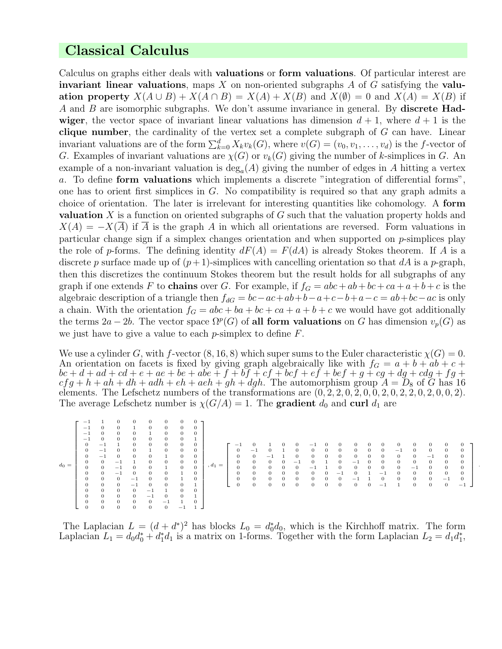## Classical Calculus

Calculus on graphs either deals with valuations or form valuations. Of particular interest are invariant linear valuations, maps  $X$  on non-oriented subgraphs  $A$  of  $G$  satisfying the valuation property  $X(A \cup B) + X(A \cap B) = X(A) + X(B)$  and  $X(\emptyset) = 0$  and  $X(A) = X(B)$  if A and B are isomorphic subgraphs. We don't assume invariance in general. By **discrete Had**wiger, the vector space of invariant linear valuations has dimension  $d + 1$ , where  $d + 1$  is the clique number, the cardinality of the vertex set a complete subgraph of  $G$  can have. Linear invariant valuations are of the form  $\sum_{k=0}^{d} X_k v_k(G)$ , where  $v(G) = (v_0, v_1, \ldots, v_d)$  is the f-vector of G. Examples of invariant valuations are  $\chi(G)$  or  $v_k(G)$  giving the number of k-simplices in G. An example of a non-invariant valuation is  $deg_a(A)$  giving the number of edges in A hitting a vertex a. To define form valuations which implements a discrete "integration of differential forms", one has to orient first simplices in G. No compatibility is required so that any graph admits a choice of orientation. The later is irrelevant for interesting quantities like cohomology. A form valuation X is a function on oriented subgraphs of G such that the valuation property holds and  $X(A) = -X(A)$  if A is the graph A in which all orientations are reversed. Form valuations in particular change sign if a simplex changes orientation and when supported on  $p$ -simplices play the role of p-forms. The defining identity  $dF(A) = F(dA)$  is already Stokes theorem. If A is a discrete p surface made up of  $(p+1)$ -simplices with cancelling orientation so that dA is a p-graph, then this discretizes the continuum Stokes theorem but the result holds for all subgraphs of any graph if one extends F to **chains** over G. For example, if  $f_G = abc + ab + bc + ca + a + b + c$  is the algebraic description of a triangle then  $f_{dG} = bc - ac + ab + b - a + c - b + a - c = ab + bc - ac$  is only a chain. With the orientation  $f_G = abc + ba + bc + ca + a + b + c$  we would have got additionally the terms  $2a - 2b$ . The vector space  $\Omega^p(G)$  of all form valuations on G has dimension  $v_p(G)$  as we just have to give a value to each  $p$ -simplex to define  $F$ .

We use a cylinder G, with f-vector  $(8, 16, 8)$  which super sums to the Euler characteristic  $\chi(G) = 0$ . An orientation on facets is fixed by giving graph algebraically like with  $f<sub>G</sub> = a + b + ab + c +$  $bc+d+ad+cd+e+ae+be+abe+f+bf+cf+bcf+ef+bef+g+cg+dg+cdg+fg+$  $cfg + h + ah + dh + adh + eh + aeh + gh + dgh$ . The automorphism group  $A = D_8$  of  $\tilde{G}$  has 16 elements. The Lefschetz numbers of the transformations are  $(0, 2, 2, 0, 2, 0, 0, 2, 0, 2, 2, 0, 2, 0, 0, 2)$ . The average Lefschetz number is  $\chi(G/A) = 1$ . The gradient  $d_0$  and curl  $d_1$  are

| $d_0 =$ | -<br>$\overline{\phantom{a}}$<br>- 1<br>$\theta$<br>$\theta$<br>$\theta$<br>$\mathbf{0}$<br>$\overline{0}$<br>0<br>$\mathbf{0}$<br>$\theta$<br>$\theta$<br>$\bf{0}$<br>$\theta$ | $-1$<br>$-1$<br>$^{-1}$<br>$\theta$<br>$\Omega$<br>$\overline{0}$<br>$\Omega$<br>$\overline{0}$<br>$\overline{0}$<br>$\theta$<br>$\theta$ | $\Omega$<br>$\Omega$<br>$\Omega$<br>$\theta$<br>$\theta$<br>$-1$<br>$-1$<br>$^{-1}$<br>$\mathbf{0}$<br>$\overline{0}$<br>$\mathbf{0}$<br>$\overline{0}$ | 0<br>$\theta$<br>$\Omega$<br>$\theta$<br>$\theta$<br>n,<br>$\theta$<br>$^{-1}$<br>$-1$<br>$\theta$<br>$\theta$<br>$\theta$ | $\Omega$<br>$\mathbf{0}$<br>$\theta$<br>$\mathbf{0}$<br>$\mathbf{0}$<br>$\mathbf{0}$<br>$\mathbf{0}$<br>$-$<br>$^{-1}$<br>$\theta$ | 0<br>$\theta$<br>$\theta$<br>$\overline{0}$<br>$\mathbf{0}$<br>$\overline{0}$<br>$\overline{0}$<br>$\theta$<br>$\theta$<br>$\theta$<br>$\theta$<br>$-1$ | 0<br>0<br>$\theta$<br>$\overline{0}$<br>$\theta$<br>$\theta$<br>$\overline{0}$<br>0<br>0<br>$\Omega$<br>$\Omega$ | 0<br>$\theta$<br>$\Omega$<br>$\Omega$<br>$\Omega$ | $, d_1 =$ | $\overline{\phantom{a}}$<br>$\mathbf{0}$<br>$\mathbf{0}$<br>$\mathbf{0}$<br>$\overline{0}$<br>$\mathbf{0}$<br>$\overline{0}$<br>$\overline{0}$ | $-1$<br>$\theta$<br>$\theta$<br>$\Omega$<br>$\overline{0}$<br>$\overline{0}$<br>$\overline{0}$ | $-1$<br>$\Omega$<br>$\Omega$<br>$\overline{0}$<br>$\overline{0}$<br>$\overline{0}$ | $\theta$<br>$\theta$<br>$\overline{0}$ | $\theta$<br>$\theta$<br>$\Omega$<br>$-1$<br>$\Omega$<br>$\theta$<br>$\mathbf{0}$<br>$\overline{0}$ | -<br>$\theta$<br>$\Omega$<br>$\Omega$<br>-<br>$\mathbf{0}$<br>$\theta$<br>$\Omega$ | $\overline{0}$<br>$\overline{0}$<br>$\overline{0}$<br>$\overline{0}$ | $\Omega$<br>$\theta$<br>$\mathbf{0}$<br>$\mathbf{0}$<br>0<br>$-$<br>$\mathbf{0}$<br>$\overline{0}$ | $^{\circ}$<br>$\theta$<br>$\theta$<br>$-1$<br>$\Omega$<br>$\Omega$<br>$-1$<br>$\overline{0}$ | 0<br>$\mathbf{0}$<br>$\mathbf{0}$<br>$\mathbf{0}$<br>$\mathbf{0}$<br>$\overline{0}$ | $\theta$<br>$\theta$<br>$\theta$<br>$\overline{0}$<br>- 1<br>$\theta$<br>$-1$ | $\theta$<br>$-1$<br>$\overline{0}$<br>$\overline{0}$<br>$\theta$<br>$\theta$<br>$\mathbf{0}$ | $\Omega$<br>$\theta$<br>$\theta$<br>$\theta$<br>$-1$<br>$\theta$<br>$\mathbf{0}$<br>$\mathbf{0}$ | $\theta$<br>$\theta$<br>$^{-1}$<br>$\overline{0}$<br>$\Omega$<br>$\theta$<br>$\overline{0}$<br>$\overline{0}$ | $\overline{0}$<br>$\theta$<br>$\overline{0}$<br>$\Omega$<br>$\mathbf{0}$<br>$-1$<br>$\overline{0}$ | $\Omega$<br>$\theta$<br>$\mathbf{0}$<br>$\Omega$<br>$\mathbf{0}$<br>$\Omega$<br>$\overline{\phantom{a}}$ |  |
|---------|---------------------------------------------------------------------------------------------------------------------------------------------------------------------------------|-------------------------------------------------------------------------------------------------------------------------------------------|---------------------------------------------------------------------------------------------------------------------------------------------------------|----------------------------------------------------------------------------------------------------------------------------|------------------------------------------------------------------------------------------------------------------------------------|---------------------------------------------------------------------------------------------------------------------------------------------------------|------------------------------------------------------------------------------------------------------------------|---------------------------------------------------|-----------|------------------------------------------------------------------------------------------------------------------------------------------------|------------------------------------------------------------------------------------------------|------------------------------------------------------------------------------------|----------------------------------------|----------------------------------------------------------------------------------------------------|------------------------------------------------------------------------------------|----------------------------------------------------------------------|----------------------------------------------------------------------------------------------------|----------------------------------------------------------------------------------------------|-------------------------------------------------------------------------------------|-------------------------------------------------------------------------------|----------------------------------------------------------------------------------------------|--------------------------------------------------------------------------------------------------|---------------------------------------------------------------------------------------------------------------|----------------------------------------------------------------------------------------------------|----------------------------------------------------------------------------------------------------------|--|
|         |                                                                                                                                                                                 |                                                                                                                                           | $\mathbf{0}$<br>$\theta$                                                                                                                                | $\theta$                                                                                                                   | $\mathbf{0}$                                                                                                                       | $\theta$                                                                                                                                                | -                                                                                                                |                                                   |           |                                                                                                                                                |                                                                                                |                                                                                    |                                        |                                                                                                    |                                                                                    |                                                                      |                                                                                                    |                                                                                              |                                                                                     |                                                                               |                                                                                              |                                                                                                  |                                                                                                               |                                                                                                    |                                                                                                          |  |

.

The Laplacian  $L = (d + d^*)^2$  has blocks  $L_0 = d_0^* d_0$ , which is the Kirchhoff matrix. The form Laplacian  $L_1 = d_0 d_0^* + d_1^* d_1$  is a matrix on 1-forms. Together with the form Laplacian  $L_2 = d_1 d_1^*$ ,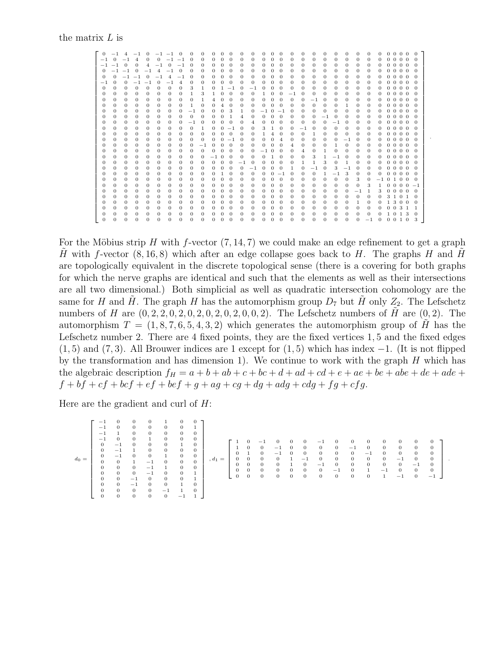#### the matrix L is

| $\overline{0}$ | $-1$           | $\overline{4}$ | $-1$         | $\Omega$     |                | $-1$ $-1$      | $\Omega$       | $^{\circ}$   | 0        | 0            | 0              | $\Omega$       | $\Omega$       | $^{\circ}$   | 0        | $\Omega$       | $\Omega$       | 0              | 0            | 0              | 0        | 0        | 0            | $\Omega$ | $^{\circ}$ | 0              | $\Omega$       | $0\quad 0\quad 0$ |    | $\Omega$ |  |
|----------------|----------------|----------------|--------------|--------------|----------------|----------------|----------------|--------------|----------|--------------|----------------|----------------|----------------|--------------|----------|----------------|----------------|----------------|--------------|----------------|----------|----------|--------------|----------|------------|----------------|----------------|-------------------|----|----------|--|
| $-1$           | $\overline{0}$ | $^{-1}$        | 4            | $\mathbf{0}$ | $\overline{0}$ | $-1$ $-1$      |                | 0            | 0        | 0            | $\Omega$       | $\theta$       | $\theta$       | 0            | 0        | 0              | $\theta$       | $\theta$       | $\mathbf{0}$ | $\mathbf{0}$   | $\Omega$ | 0        | 0            | 0        | 0          | $\mathbf{0}$   |                | $0\; 0\; 0\; 0$   |    | $\Omega$ |  |
| $-1$           | $-1$           | $\Omega$       | $\Omega$     | 4            | $^{-1}$        | $\theta$       | $^{-1}$        | $\Omega$     | 0        | 0            | $\Omega$       | $\Omega$       | $\Omega$       | 0            | $\Omega$ | $\theta$       | $\Omega$       | $\Omega$       | $\Omega$     | $\Omega$       | $\theta$ | 0        | $\Omega$     | $\Omega$ | $\Omega$   | $\Omega$       |                | $0\; 0\; 0\; 0$   |    | $\Omega$ |  |
| $\Omega$       | $-1$           | $-1$           | $\Omega$     | $^{-1}$      | $\overline{4}$ | $-1$           | $\Omega$       | $\Omega$     | 0        | 0            | $\Omega$       | $\Omega$       | $\Omega$       | 0            | $\theta$ | $\Omega$       | $\Omega$       | $\Omega$       | 0            | 0              | 0        | 0        | 0            | $\Omega$ | 0          | $\Omega$       |                | $0\; 0\; 0\; 0$   |    | $\Omega$ |  |
| $\Omega$       | $\Omega$       | $-1$           | $-1$         | $\Omega$     | $^{-1}$        | $\overline{4}$ | $-1$           | $\Omega$     | 0        | 0            | $\theta$       | $\Omega$       | $\Omega$       | 0            | $\theta$ | 0              | $\Omega$       | $\Omega$       | $\Omega$     | 0              | $\theta$ | 0        | 0            | $\Omega$ | $\Omega$   | $\Omega$       |                | $0\; 0\; 0\; 0$   |    | $\Omega$ |  |
| $-1$           | $\Omega$       | $\theta$       | $^{-1}$      | $-1$         | $\Omega$       | $-1$           | $\overline{4}$ | $\mathbf{0}$ | 0        | $\Omega$     | $\mathbf{0}$   | $\theta$       | $\Omega$       | $\Omega$     | $\theta$ | $\Omega$       | $\Omega$       | $\Omega$       | $\Omega$     | 0              | $\theta$ | 0        | $\Omega$     | $\Omega$ | 0          | $\Omega$       |                | $0\; 0\; 0\; 0$   |    | $\Omega$ |  |
| $\mathbf{0}$   | $\mathbf{0}$   | $\theta$       | $\Omega$     | $\mathbf{0}$ | $\mathbf{0}$   | $\theta$       | $\theta$       | 3            | 1        | 0            | 1              | $^{-1}$        | $\theta$       | $^{-1}$      | $\theta$ | $\theta$       | $\theta$       | $\Omega$       | $\Omega$     | $\mathbf{0}$   | $\theta$ | 0        | $\mathbf{0}$ | $\theta$ | $\theta$   | $\mathbf{0}$   |                | $0\; 0\; 0\; 0$   |    | $\Omega$ |  |
| 0              | 0              | $\theta$       | 0            | $\Omega$     | 0              | $\Omega$       | $\Omega$       | 1            | з        | 1.           | $\Omega$       | $\Omega$       | $\Omega$       | $\Omega$     | 1        | $\theta$       | $\Omega$       | -1             | $\Omega$     | 0              | $\Omega$ | 0        | 0            | $\Omega$ | 0          | $\Omega$       |                | $0\; 0\; 0\; 0$   |    | $\Omega$ |  |
| 0              | $\mathbf{0}$   | $\theta$       | 0            | $\mathbf{0}$ | 0              | $\theta$       | $\theta$       | $\mathbf{0}$ | 1        | 4            | $\Omega$       | $\theta$       | $\Omega$       | $\Omega$     | $\theta$ | $\theta$       | $\Omega$       | $\Omega$       | $\Omega$     | $-1$           | $\theta$ | 0        | 0            | $\theta$ | $\Omega$   | $\Omega$       |                | $0\; 0\; 0\; 0$   |    | $\Omega$ |  |
| 0              | $\Omega$       | $\theta$       | 0            | $\mathbf{0}$ | 0              | $\theta$       | $\Omega$       | 1            | 0        | $\mathbf{0}$ | $\overline{4}$ | $\Omega$       | $\theta$       | $\mathbf{0}$ | $\theta$ | $\overline{0}$ | $\theta$       | $\Omega$       | $\Omega$     | $\mathbf{0}$   | $\theta$ | 0        | 1            | $\theta$ | $\Omega$   | $\mathbf{0}$   |                | $0\; 0\; 0\; 0$   |    | $\Omega$ |  |
| $\mathbf{0}$   | $\Omega$       | $\theta$       | $\mathbf{0}$ | $\mathbf{0}$ | $\Omega$       | $\mathbf{0}$   | $\Omega$       | $^{-1}$      | $\Omega$ | $\Omega$     | $\theta$       | 3              | $\mathbf{1}$   | $\Omega$     | $^{-1}$  | $\Omega$       | $-1$           | $\Omega$       | $\Omega$     | $\mathbf{0}$   | $\theta$ | $\Omega$ | $\Omega$     | $\theta$ | $\Omega$   | $\Omega$       | $\overline{0}$ | $0\quad 0\quad 0$ |    | $\Omega$ |  |
| 0              | $\Omega$       | $\theta$       | 0            | $\mathbf{0}$ | 0              | $\Omega$       | $\Omega$       | $\mathbf{0}$ | $\Omega$ | 0            | $\Omega$       | 1              | $\overline{4}$ | 0            | $\theta$ | $\overline{0}$ | $\Omega$       | 0              | 0            | 0              | $^{-1}$  | $\Omega$ | 0            | $\Omega$ | $\Omega$   | $\Omega$       |                | $0\; 0\; 0\; 0$   |    | $\Omega$ |  |
| 0              | 0              | $\theta$       | 0            | 0            | 0              | 0              | $\Omega$       | $-1$         | $\Omega$ | 0            | $\Omega$       | $\Omega$       | $\Omega$       | 4            | 0        | $\theta$       | $\Omega$       | $\Omega$       | 0            | 0              | $\Omega$ | - 1      | $\Omega$     | $\Omega$ | $\Omega$   | $\Omega$       | $\Omega$       | $0\quad 0\quad 0$ |    | $\Omega$ |  |
| $\mathbf{0}$   | $\Omega$       | $\theta$       | $\Omega$     | $\mathbf{0}$ | 0              | $\Omega$       | $\Omega$       | $\Omega$     | 1        | $\Omega$     | $\Omega$       | $^{-1}$        | $\Omega$       | 0            | 3        | 1              | $\theta$       | $\Omega$       | $-1$         | $\Omega$       | $\Omega$ | $\theta$ | 0            | $\Omega$ | $\Omega$   | $\Omega$       |                | $0\; 0\; 0\; 0$   |    | $\Omega$ |  |
| 0              | 0              | $\mathbf{0}$   | 0            | 0            | 0              | $\mathbf{0}$   | $\Omega$       | 0            | $\Omega$ | 0            | $\theta$       | $\overline{0}$ | $\Omega$       | 0            | 1        | 4              | $\theta$       | $\Omega$       | $\mathbf{0}$ | 1              | 0        | 0        | 0            | $\Omega$ | $\Omega$   | $\Omega$       | $\overline{0}$ | $0\quad 0\quad 0$ |    | $\Omega$ |  |
| 0              | $\Omega$       | $\theta$       | 0            | $\mathbf{0}$ | 0              | $\Omega$       | $\Omega$       | $\Omega$     | 0        | $\Omega$     | $\Omega$       | $-1$           | $\Omega$       | 0            | $\Omega$ | $\Omega$       | $\overline{4}$ | $\Omega$       | $\Omega$     | 0              | $\Omega$ | 0        | $-1$         | $\Omega$ | $\Omega$   | $\Omega$       |                | $0\; 0\; 0\; 0$   |    | $\Omega$ |  |
| $\mathbf{0}$   | $\Omega$       | $\theta$       | $\mathbf{0}$ | $\mathbf{0}$ | 0              | $\Omega$       | $\Omega$       | $\mathbf{0}$ | $-1$     | $\Omega$     | $\theta$       | $\theta$       | $\Omega$       | 0            | $\theta$ | $\theta$       | $\Omega$       | $\overline{4}$ | $\Omega$     | $\mathbf{0}$   | $\Omega$ | 1.       | $\Omega$     | $\Omega$ | $\Omega$   | $\Omega$       |                | $0\; 0\; 0\; 0$   |    | $\Omega$ |  |
| $\Omega$       | $\Omega$       | $\theta$       | 0            | $\mathbf{0}$ | 0              | $\Omega$       | $\Omega$       | $\Omega$     | $\Omega$ | $\Omega$     | $\Omega$       | $\Omega$       | $\Omega$       | 0            | $-1$     | $\Omega$       | $\Omega$       | $\Omega$       | 4            | $\Omega$       | 1.       | 0        | 0            | $\Omega$ | $\Omega$   | $\Omega$       | $\Omega$       | $0\quad 0\quad 0$ |    | $\Omega$ |  |
| $\mathbf{0}$   | $\Omega$       | $\theta$       | $\Omega$     | $\mathbf{0}$ | 0              | $\Omega$       | $\Omega$       | $\Omega$     | 0        | $^{-1}$      | $\Omega$       | $\theta$       | $\Omega$       | $\Omega$     | $\theta$ | 1              | $\Omega$       | $\Omega$       | $\Omega$     | 3              | 1        | $^{-1}$  | $\Omega$     | $\Omega$ | $\Omega$   | $\Omega$       |                | $0\; 0\; 0\; 0$   |    | $\Omega$ |  |
| $\mathbf{0}$   | $\Omega$       | $\theta$       | $\Omega$     | $\mathbf{0}$ | 0              | $\theta$       | $\Omega$       | $\Omega$     | 0        | $\Omega$     | $\Omega$       | $\theta$       | $^{-1}$        | $\mathbf{0}$ | $\theta$ | $\theta$       | $\Omega$       | $\Omega$       | 1            | 1              | 3        | $\theta$ | 1            | $\Omega$ | $\Omega$   | $\Omega$       |                | $0\; 0\; 0\; 0$   |    | $\Omega$ |  |
| 0              | 0              | $\theta$       | 0            | $\mathbf{0}$ | 0              | $\Omega$       | $\Omega$       | 0            | 0        | 0            | $\Omega$       | $\Omega$       | $\Omega$       | $-1$         | $\theta$ | $\theta$       | $\Omega$       | 1              | 0            | $-1$           | $\theta$ | 3        | $-1$         | $\Omega$ | 0          | $\Omega$       |                | $0\; 0\; 0\; 0$   |    | $\Omega$ |  |
| $\mathbf{0}$   | $\Omega$       | $\theta$       | $\mathbf{0}$ | $\mathbf{0}$ | $\Omega$       | $\theta$       | $\theta$       | $\mathbf{0}$ | 0        | 0            | 1              | $\theta$       | $\Omega$       | $\Omega$     | $\theta$ | $\theta$       | $-1$           | $\Omega$       | $\Omega$     | $\mathbf{0}$   | 1        | $-1$     | 3            | $\theta$ | $\Omega$   | $\theta$       |                | $0\; 0\; 0\; 0$   |    | $\Omega$ |  |
| 0              | 0              | $\theta$       | 0            | 0            | 0              | $\theta$       | 0              | 0            | $\Omega$ | 0            | $\theta$       | $\theta$       | $\Omega$       | $\mathbf{0}$ | $\theta$ | $\theta$       | $\theta$       | $\Omega$       | 0            | 0              | $\theta$ | $\theta$ | $\mathbf{0}$ | 3        | $\theta$   | $^{-1}$        |                | 0100              |    | $\Omega$ |  |
| 0              | 0              | $\theta$       | 0            | $\mathbf{0}$ | 0              | $\theta$       | $\Omega$       | $\mathbf{0}$ | 0        | 0            | $\Omega$       | $\theta$       | $\Omega$       | 0            | $\Omega$ | $\theta$       | $\Omega$       | $\Omega$       | $\Omega$     | $\mathbf{0}$   | $\Omega$ | 0        | 0            | $\theta$ | 3          | $\mathbf{1}$   |                | $0\;0\;0\;0$      |    | $-1$     |  |
| 0              | $\Omega$       | $\theta$       | 0            | $\mathbf{0}$ | 0              | $\Omega$       | $\Omega$       | $\mathbf{0}$ | 0        | $\Omega$     | $\theta$       | 0              | $\Omega$       | 0            | $\Omega$ | $\mathbf{0}$   | $\theta$       | $\Omega$       | 0            | 0              | 0        | 0        | $\Omega$     | $-1$     | 1          | 3              |                | $0\; 0\; 0\; 0$   |    | $\Omega$ |  |
| 0              | $\Omega$       | $\theta$       | 0            | $\mathbf{0}$ | 0              | $\theta$       | $\Omega$       | $\mathbf{0}$ | 0        | 0            | $\Omega$       | $\Omega$       | $\Omega$       | 0            | $\Omega$ | $\Omega$       | $\Omega$       | $\Omega$       | 0            | $\mathbf{0}$   | $\theta$ | 0        | 0            | $\Omega$ | $\Omega$   | $\Omega$       |                | 3 1 0 1           |    | $\Omega$ |  |
| $\mathbf{0}$   | $\Omega$       | $\theta$       | $\Omega$     | $\mathbf{0}$ | 0              | $\Omega$       | $\Omega$       | $\Omega$     | 0        | $\Omega$     | $\theta$       | $\Omega$       | $\Omega$       | $\Omega$     | $\Omega$ | $\theta$       | $\Omega$       | $\Omega$       | $\Omega$     | $\Omega$       | $\Omega$ | 0        | 0            | 1        | $\Omega$   | $\theta$       |                | 1 3 0 0           |    | $\Omega$ |  |
| 0              | $\mathbf{0}$   | $\mathbf{0}$   | $\mathbf{0}$ | $\mathbf{0}$ | $\mathbf{0}$   | $\overline{0}$ | $\theta$       | $\mathbf{0}$ | 0        | $\mathbf{0}$ | $\theta$       | $\theta$       | $\theta$       | $\mathbf{0}$ | $\theta$ | $\theta$       | $\theta$       | $\Omega$       | $\mathbf{0}$ | $\mathbf{0}$   | $\theta$ | 0        | $\mathbf{0}$ | $\theta$ | $\theta$   | $\theta$       | $\overline{0}$ | 0 3               | -1 | -1       |  |
| 0              | 0              | $\theta$       | 0            | $\Omega$     | 0              | $\Omega$       | $\Omega$       | $\Omega$     | 0        | 0            | $\Omega$       | $\Omega$       | $\Omega$       | 0            | 0        | $\Omega$       | $\Omega$       | 0              | 0            | $\Omega$       | $\Omega$ | 0        | 0            | $\Omega$ | $\Omega$   | $\theta$       | $\mathbf{1}$   | $0\quad 1\quad 3$ |    | $\Omega$ |  |
| $\mathbf{0}$   | $\Omega$       | $\theta$       | $\Omega$     | $\mathbf{0}$ | $\Omega$       | $\overline{0}$ | $\Omega$       | $\Omega$     | $\Omega$ | $\Omega$     | $\Omega$       | $\Omega$       | $\Omega$       | $\Omega$     | $\theta$ | $\theta$       | $\theta$       | $\Omega$       | $\Omega$     | $\overline{0}$ | $\theta$ | $\Omega$ | $\Omega$     | $\Omega$ | $-1$       | $\overline{0}$ |                | $0 \t0 \t1 \t0$   |    | 3        |  |

.

For the Möbius strip H with f-vector  $(7, 14, 7)$  we could make an edge refinement to get a graph H with f-vector  $(8, 16, 8)$  which after an edge collapse goes back to H. The graphs H and H are topologically equivalent in the discrete topological sense (there is a covering for both graphs for which the nerve graphs are identical and such that the elements as well as their intersections are all two dimensional.) Both simplicial as well as quadratic intersection cohomology are the same for H and H. The graph H has the automorphism group  $D_7$  but H only  $Z_2$ . The Lefschetz numbers of H are  $(0, 2, 2, 0, 2, 0, 2, 0, 2, 0, 2, 0, 2)$ . The Lefschetz numbers of H are  $(0, 2)$ . The automorphism  $T = (1, 8, 7, 6, 5, 4, 3, 2)$  which generates the automorphism group of H has the Lefschetz number 2. There are 4 fixed points, they are the fixed vertices 1, 5 and the fixed edges  $(1, 5)$  and  $(7, 3)$ . All Brouwer indices are 1 except for  $(1, 5)$  which has index  $-1$ . (It is not flipped by the transformation and has dimension 1). We continue to work with the graph  $H$  which has the algebraic description  $f_H = a + b + ab + c + bc + d + ad + cd + e + ae + be + ab + de + ade +$  $f + bf + cf + bcf + ef + bef + g + ag + cg + dg + adg + cdg + fg + cfg.$ 

Here are the gradient and curl of  $H$ :

d0 = −1 0 0 0 1 0 0 −1 0 0 0 0 0 1 −1 1 0 0 0 0 0 −1 0 0 1 0 0 0 0 −1 0 0 0 1 0 0 −1 1 0 0 0 0 0 −1 0 0 1 0 0 0 0 1 −1 0 0 0 0 0 0 −1 1 0 0 0 0 0 −1 0 0 1 0 0 −1 0 0 0 1 0 0 −1 0 0 1 0 0 0 0 0 −1 1 0 0 0 0 0 0 −1 1 , d1 = 1 0 −1 0 0 0 −1 0 0 0 0 0 0 0 1 0 0 −1 0 0 0 0 −1 0 0 0 0 0 0 1 0 −1 0 0 0 0 0 −1 0 0 0 0 0 0 0 0 1 −1 0 0 0 0 0 −1 0 0 0 0 0 0 1 0 −1 0 0 0 0 0 −1 0 0 0 0 0 0 0 0 −1 0 1 −1 0 0 0 0 0 0 0 0 0 0 0 0 0 1 −1 0 −1 .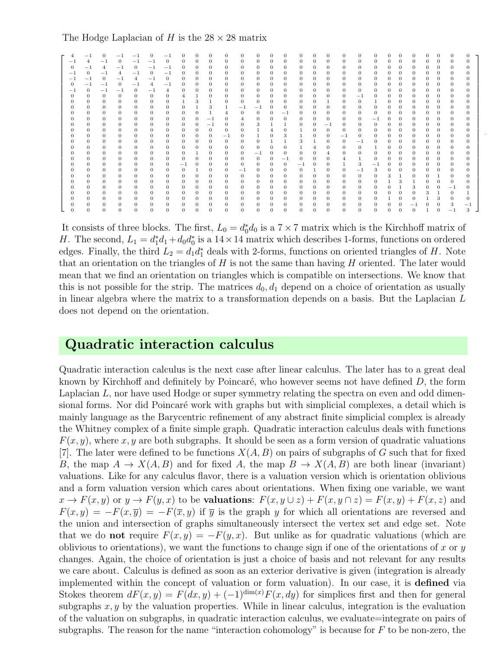#### The Hodge Laplacian of H is the  $28 \times 28$  matrix

| 4                | $-1$           | 0              | - 1            |                |                | $-1$           | O              |                |                | $\Omega$         | $\Omega$       | $\Omega$       |              | 0              |                | $\Omega$       |                | $\Omega$     | $\Omega$       | 0              |          |              |                |                | 0              | $\Omega$       | $\theta$ |
|------------------|----------------|----------------|----------------|----------------|----------------|----------------|----------------|----------------|----------------|------------------|----------------|----------------|--------------|----------------|----------------|----------------|----------------|--------------|----------------|----------------|----------|--------------|----------------|----------------|----------------|----------------|----------|
| $-1$             | $\overline{4}$ | $-1$           | $\Omega$       | $-1$           | $-1$           | $\theta$       | $\mathbf{0}$   | 0              | $\mathbf{0}$   | $\theta$         | $\theta$       | $\mathbf{0}$   | $\mathbf{0}$ | $\mathbf{0}$   | $\theta$       | $\theta$       | $\theta$       | $\mathbf{0}$ | $\mathbf{0}$   | $\theta$       | $\theta$ | $\mathbf{0}$ | $\theta$       | $\mathbf{0}$   | $\mathbf{0}$   | $\theta$       | $\theta$ |
| $\theta$         | $-1$           | $\overline{4}$ | $^{-1}$        | $\theta$       | $-1$           | $-1$           | $\mathbf{0}$   | 0              | $\theta$       | $\theta$         | $\theta$       | $\theta$       | $\mathbf{0}$ | $\mathbf{0}$   | $\theta$       | $\theta$       | $\theta$       | $\mathbf{0}$ | $\mathbf{0}$   | $\theta$       | $\theta$ | $\mathbf{0}$ | $\theta$       | $\theta$       | $\mathbf{0}$   | $\mathbf{0}$   | $\Omega$ |
| $-1$             | $\mathbf{0}$   | $-1$           | $\overline{4}$ | $-1$           | $\theta$       | $-1$           | $\mathbf{0}$   | 0              | $\theta$       | $\theta$         | $\mathbf{0}$   | $\mathbf{0}$   | $\mathbf{0}$ | $\mathbf{0}$   | $\theta$       | $\theta$       | $\Omega$       | $\mathbf{0}$ | $\mathbf{0}$   | $\theta$       | $\Omega$ | $\mathbf{0}$ | $\Omega$       | $\overline{0}$ | $\Omega$       | $\mathbf{0}$   | $\Omega$ |
| $^{-1}$          | $^{-1}$        | $\theta$       | $^{-1}$        | $\overline{4}$ | $^{-1}$        | $\mathbf{0}$   | $\mathbf{0}$   | 0              | $\mathbf{0}$   | $\mathbf{0}$     | $\theta$       | $\mathbf{0}$   | $\mathbf{0}$ | $\mathbf{0}$   | $\mathbf{0}$   | $\mathbf{0}$   | $\theta$       | 0            | $\mathbf{0}$   | $\theta$       | $\theta$ | $\mathbf{0}$ | $\overline{0}$ | $\mathbf{0}$   | $\mathbf{0}$   | $\mathbf{0}$   | $\Omega$ |
| $\theta$         | $^{-1}$        | $^{-1}$        | $\mathbf{0}$   | $^{-1}$        | $\overline{4}$ | $^{-1}$        | $\mathbf{0}$   | 0              | $\theta$       | $\mathbf{0}$     | $\theta$       | $\mathbf{0}$   | $\mathbf{0}$ | 0              | $\mathbf{0}$   | $\mathbf{0}$   | $\mathbf{0}$   | 0            | 0              | $\mathbf{0}$   | $\theta$ | $\mathbf{0}$ | $\overline{0}$ | $\mathbf{0}$   | $\mathbf{0}$   | 0              | 0        |
| $-1$             | $\mathbf{0}$   | $-1$           | $-1$           | $\Omega$       | $-1$           | $\overline{4}$ | $\overline{0}$ | $\mathbf{0}$   | $\theta$       | $\mathbf{0}$     | $\overline{0}$ | $\overline{0}$ | $\mathbf{0}$ | $\mathbf{0}$   | $\theta$       | $\theta$       | $\overline{0}$ | $\mathbf{0}$ | $\mathbf{0}$   | $\mathbf{0}$   | $\Omega$ | $\mathbf{0}$ | $\overline{0}$ | $\mathbf{0}$   | $\mathbf{0}$   | $\mathbf{0}$   | $\Omega$ |
| $\theta$         | $\mathbf{0}$   | $\theta$       | $\overline{0}$ | $\mathbf{0}$   | $\mathbf{0}$   | $\mathbf{0}$   | 4              | 1              | $\theta$       | $\mathbf{0}$     | $\mathbf{0}$   | $\mathbf{0}$   | $\mathbf{0}$ | $\mathbf{0}$   | $\mathbf{0}$   | $\mathbf{0}$   | $\theta$       | $\mathbf{0}$ | $^{-1}$        | $\mathbf{0}$   | $\theta$ | $\mathbf{0}$ | $\overline{0}$ | $\mathbf{0}$   | $\mathbf{0}$   | $\mathbf{0}$   | $\Omega$ |
| 0                | $\mathbf{0}$   | $\mathbf{0}$   | $\mathbf{0}$   | $\mathbf{0}$   | 0              | $\mathbf{0}$   | $\mathbf{1}$   | 3              | $\mathbf{1}$   | $\mathbf{0}$     | $\mathbf{0}$   | $\mathbf{0}$   | $\mathbf{0}$ | $\mathbf{0}$   | $\mathbf{0}$   | $\mathbf{0}$   | 1              | 0            | $\mathbf{0}$   | 1              | $\theta$ | $\mathbf{0}$ | $\mathbf{0}$   | $\mathbf{0}$   | $\mathbf{0}$   | $\mathbf{0}$   | $\theta$ |
| $\boldsymbol{0}$ | $\mathbf{0}$   | $\mathbf{0}$   | $\overline{0}$ | $\mathbf{0}$   | $\mathbf{0}$   | $\mathbf{0}$   | $\overline{0}$ | $\mathbf{1}$   | 3              | $\mathbf{1}$     | $-1$           | $^{-1}$        | $\mathbf{0}$ | $\mathbf{0}$   | $\mathbf{0}$   | $\mathbf{0}$   | $\mathbf{0}$   | 0            | $\mathbf{0}$   | $\mathbf{0}$   | $\theta$ | $\mathbf{0}$ | $\theta$       | $\mathbf{0}$   | $\mathbf{0}$   | $\mathbf{0}$   | $\theta$ |
| $\theta$         | $\mathbf{0}$   | $\mathbf{0}$   | $\mathbf{0}$   | $\mathbf{0}$   | 0              | $\mathbf{0}$   | $\mathbf{0}$   | $\mathbf{0}$   | $\mathbf{1}$   | $\overline{4}$   | $\theta$       | $\mathbf{0}$   | $\theta$     | $^{-1}$        | $\theta$       | $\mathbf{0}$   | $\mathbf{0}$   | 0            | $\mathbf{0}$   | $\theta$       | $\theta$ | $\mathbf{0}$ | $\theta$       | $\mathbf{0}$   | $\mathbf{0}$   | $\mathbf{0}$   | 0        |
|                  | $\mathbf{0}$   | $\theta$       | $\mathbf{0}$   | $\mathbf{0}$   | $\theta$       | $\mathbf{0}$   | $\overline{0}$ | $\mathbf{0}$   | $^{-1}$        | $\theta$         | 4              | $\mathbf{0}$   | $\mathbf{0}$ | $\mathbf{0}$   | $\theta$       | $\theta$       | $\theta$       | $\mathbf{0}$ | $\mathbf{0}$   | $^{-1}$        | $\theta$ | $\mathbf{0}$ | $\overline{0}$ | $\mathbf{0}$   | $\mathbf{0}$   | $\mathbf{0}$   | $\Omega$ |
| $\mathbf{0}$     | $\mathbf{0}$   | $\mathbf{0}$   | $\theta$       | $\mathbf{0}$   | $\mathbf{0}$   | $\mathbf{0}$   | $\mathbf{0}$   | $\mathbf{0}$   | $^{-1}$        | $\mathbf{0}$     | $\theta$       | 3              | 1            | $\mathbf{1}$   | $\theta$       | $\mathbf{0}$   | $^{-1}$        | 0            | $\overline{0}$ | $\overline{0}$ | $\theta$ | $\mathbf{0}$ | $\overline{0}$ | $\mathbf{0}$   | $\mathbf{0}$   | $\mathbf{0}$   | 0        |
| 0                | $\mathbf{0}$   | $\mathbf{0}$   | $\mathbf{0}$   | $\mathbf{0}$   | 0              | $\mathbf{0}$   | $\mathbf{0}$   | $\mathbf{0}$   | $\mathbf{0}$   | $\mathbf{0}$     | $\mathbf{0}$   | $\mathbf{1}$   | 4            | 0              | 1              | $\mathbf{0}$   | $\mathbf{0}$   | $\mathbf{0}$ | $\mathbf{0}$   | $\overline{0}$ | $\theta$ | $\mathbf{0}$ | $\mathbf{0}$   | $\mathbf{0}$   | $\mathbf{0}$   | $\mathbf{0}$   | 0        |
|                  | $\mathbf{0}$   | $\overline{0}$ | $\mathbf{0}$   | $\mathbf{0}$   | $\overline{0}$ | $\mathbf{0}$   | $\overline{0}$ | $\mathbf{0}$   | $\overline{0}$ | $^{-1}$          | $\theta$       | $\mathbf{1}$   | $\mathbf{0}$ | 3              | $\mathbf{1}$   | $\mathbf{0}$   | $\theta$       | $^{-1}$      | $\overline{0}$ | $\mathbf{0}$   | $\theta$ | $\mathbf{0}$ | $\overline{0}$ | $\mathbf{0}$   | $\mathbf{0}$   | $\mathbf{0}$   | $\Omega$ |
| $\mathbf{0}$     | $\mathbf{0}$   | $\mathbf{0}$   | $\theta$       | $\mathbf{0}$   | $\mathbf{0}$   | $\mathbf{0}$   | $\mathbf{0}$   | 0              | $\mathbf{0}$   | $\mathbf{0}$     | $\mathbf{0}$   | $\theta$       | $\mathbf{1}$ | $\mathbf{1}$   | 3              | $\mathbf{1}$   | $\mathbf{0}$   | $\mathbf{0}$ | $^{-1}$        | $\mathbf{0}$   | $\theta$ | $\mathbf{0}$ | $\overline{0}$ | $\mathbf{0}$   | $\overline{0}$ | $\mathbf{0}$   | $\theta$ |
|                  | $\mathbf 0$    | $\theta$       | $\overline{0}$ | $\mathbf{0}$   | $\theta$       | $\mathbf{0}$   | $\overline{0}$ | $\overline{0}$ | $\mathbf{0}$   | $\mathbf{0}$     | $\overline{0}$ | $\mathbf{0}$   | $\mathbf{0}$ | $\overline{0}$ | $\mathbf{1}$   | $\overline{4}$ | $\mathbf{0}$   | $\mathbf{0}$ | $\mathbf{0}$   | $\mathbf{1}$   | $\theta$ | $\mathbf{0}$ | $\overline{0}$ | $\mathbf{0}$   | $\mathbf{0}$   | $\mathbf{0}$   | $\Omega$ |
|                  | $\mathbf{0}$   | $\mathbf{0}$   | $\theta$       | $\mathbf{0}$   | 0              | $\mathbf{0}$   | $\mathbf{0}$   | 1              | $\mathbf{0}$   | $\mathbf{0}$     | $\theta$       | $^{-1}$        | $\mathbf{0}$ | $\mathbf{0}$   | $\mathbf{0}$   | $\mathbf{0}$   | $\overline{4}$ | $\mathbf{0}$ | $\mathbf{0}$   | $\mathbf{0}$   | $\theta$ | $\mathbf{0}$ | $\mathbf{0}$   | $\mathbf{0}$   | $\mathbf{0}$   | $\mathbf{0}$   | $\Omega$ |
| $\mathbf{0}$     | $\mathbf{0}$   | $\mathbf{0}$   | $\theta$       | $\mathbf{0}$   | $\mathbf{0}$   | $\overline{0}$ | $\mathbf{0}$   | $\mathbf{0}$   | $\mathbf{0}$   | $\mathbf{0}$     | $\mathbf{0}$   | $\mathbf{0}$   | $\mathbf{0}$ | $^{-1}$        | $\overline{0}$ | $\theta$       | $\theta$       | 4            | $\mathbf{1}$   | $\overline{0}$ | $\theta$ | $\mathbf{0}$ | $\overline{0}$ | $\mathbf{0}$   | $\mathbf{0}$   | $\mathbf{0}$   | $\theta$ |
|                  | $\mathbf 0$    | $\theta$       | $\overline{0}$ | $\theta$       | $\theta$       | $\mathbf{0}$   | $^{-1}$        | $\mathbf{0}$   | $\mathbf{0}$   | $\mathbf{0}$     | $\overline{0}$ | $\overline{0}$ | $\mathbf{0}$ | $\overline{0}$ | $^{-1}$        | $\theta$       | $\theta$       |              | 3              | $^{-1}$        | $\theta$ | $\mathbf{0}$ | $\overline{0}$ | $\mathbf{0}$   | $\mathbf{0}$   | $\bf 0$        | $\theta$ |
|                  | $\,0\,$        | $\mathbf{0}$   | $\theta$       | $\mathbf{0}$   | 0              | $\mathbf{0}$   | $\mathbf{0}$   | 1              | $\mathbf{0}$   | $\boldsymbol{0}$ | $-1$           | $\mathbf{0}$   | $\mathbf{0}$ | 0              | $\mathbf{0}$   | $\mathbf{1}$   | $\theta$       | $\mathbf{0}$ | $^{-1}$        | 3              | 0        | $\mathbf{0}$ | $\overline{0}$ | $\mathbf{0}$   | $\mathbf{0}$   | $\mathbf{0}$   | $\Omega$ |
| $\theta$         | $\mathbf{0}$   | $\overline{0}$ | $\overline{0}$ | $\mathbf{0}$   | $\mathbf{0}$   | $\mathbf{0}$   | $\mathbf{0}$   | $\mathbf{0}$   | $\mathbf{0}$   | $\mathbf{0}$     | $\mathbf{0}$   | $\mathbf{0}$   | $\mathbf{0}$ | $\overline{0}$ | $\mathbf{0}$   | $\theta$       | $\theta$       | $\mathbf{0}$ | $\mathbf{0}$   | $\mathbf{0}$   | 3        | $\mathbf{1}$ | $\overline{0}$ | $\mathbf{0}$   | -1             | $\mathbf{0}$   | $\Omega$ |
|                  | $\mathbf{0}$   | 0              | $\theta$       | $\mathbf{0}$   | 0              | $\mathbf{0}$   | $\mathbf{0}$   | $\mathbf{0}$   | $\mathbf{0}$   | $\mathbf{0}$     | $\mathbf{0}$   | $\mathbf{0}$   | $\mathbf{0}$ | 0              | $\mathbf{0}$   | $\mathbf{0}$   | $\theta$       | 0            | $\mathbf{0}$   | $\theta$       |          | 3            | 1              | $\mathbf{0}$   | $\mathbf{0}$   | $\mathbf{0}$   | 0        |
|                  | $\mathbf{0}$   | 0              | $\mathbf{0}$   | $\mathbf{0}$   | $\theta$       | $\mathbf{0}$   | 0              | $\mathbf{0}$   | $\theta$       | $\mathbf{0}$     | $\theta$       | $\mathbf{0}$   | $\mathbf{0}$ | $\mathbf{0}$   | $\theta$       | $\theta$       | $\theta$       | $\mathbf{0}$ | $\mathbf{0}$   | $\theta$       | $\Omega$ | 1            | 3              | $\mathbf{0}$   | $\mathbf{0}$   | $^{-1}$        | $\theta$ |
| $\theta$         | $\mathbf{0}$   | $\theta$       | $\overline{0}$ | $\theta$       | $\mathbf{0}$   | $\mathbf{0}$   | $\overline{0}$ | $\mathbf{0}$   | $\theta$       | $\mathbf{0}$     | $\theta$       | $\theta$       | $\mathbf{0}$ | $\overline{0}$ | $\theta$       | $\theta$       | $\overline{0}$ | 0            | $\overline{0}$ | $\theta$       | $\theta$ | $\mathbf{0}$ | $\overline{0}$ | 3              | -1             | $\overline{0}$ |          |
|                  | $\mathbf{0}$   | $\theta$       | 0              | $\theta$       | $\theta$       | $\mathbf{0}$   | $\mathbf{0}$   | 0              | $\mathbf{0}$   | $\mathbf{0}$     | $\mathbf{0}$   | $\mathbf{0}$   | $\mathbf{0}$ | 0              | $\theta$       | $\theta$       | $\theta$       | 0            | $\mathbf{0}$   | $\theta$       |          | $\mathbf{0}$ | $\overline{0}$ | $\mathbf{1}$   | 3              | $\overline{0}$ | 0        |
|                  | $\mathbf{0}$   | $\theta$       | $\theta$       | $\mathbf{0}$   | $\theta$       | $\mathbf{0}$   | 0              | 0              | $\theta$       | $\mathbf{0}$     | $\mathbf{0}$   | $\mathbf{0}$   | $\mathbf{0}$ | 0              | $\theta$       | 0              | $\theta$       | 0            | $\mathbf{0}$   | $\theta$       | 0        | $\mathbf{0}$ | $^{-1}$        | $\mathbf{0}$   | $\mathbf{0}$   | 3              | $-1$     |
| $\Omega$         | $\mathbf{0}$   | $\theta$       | $\theta$       | $\theta$       | $\theta$       | $\theta$       | $\mathbf{0}$   | $\Omega$       | $\theta$       | $\theta$         | $\mathbf{0}$   | $\mathbf{0}$   | $\mathbf{0}$ | $\mathbf{0}$   | $\theta$       | $\theta$       | $\theta$       | $\mathbf{0}$ | $\mathbf{0}$   | $\theta$       | $\theta$ | $\mathbf{0}$ | $\theta$       |                | $\Omega$       | - 1            | 3        |

.

It consists of three blocks. The first,  $L_0 = d_0^* d_0$  is a  $7 \times 7$  matrix which is the Kirchhoff matrix of H. The second,  $L_1 = d_1^* d_1 + d_0 d_0^*$  is a  $14 \times 14$  matrix which describes 1-forms, functions on ordered edges. Finally, the third  $L_2 = d_1 d_1^*$  deals with 2-forms, functions on oriented triangles of H. Note that an orientation on the triangles of  $H$  is not the same than having  $H$  oriented. The later would mean that we find an orientation on triangles which is compatible on intersections. We know that this is not possible for the strip. The matrices  $d_0, d_1$  depend on a choice of orientation as usually in linear algebra where the matrix to a transformation depends on a basis. But the Laplacian L does not depend on the orientation.

### Quadratic interaction calculus

Quadratic interaction calculus is the next case after linear calculus. The later has to a great deal known by Kirchhoff and definitely by Poincaré, who however seems not have defined  $D$ , the form Laplacian L, nor have used Hodge or super symmetry relating the spectra on even and odd dimensional forms. Nor did Poincaré work with graphs but with simplicial complexes, a detail which is mainly language as the Barycentric refinement of any abstract finite simplicial complex is already the Whitney complex of a finite simple graph. Quadratic interaction calculus deals with functions  $F(x, y)$ , where x, y are both subgraphs. It should be seen as a form version of quadratic valuations [7]. The later were defined to be functions  $X(A, B)$  on pairs of subgraphs of G such that for fixed B, the map  $A \to X(A, B)$  and for fixed A, the map  $B \to X(A, B)$  are both linear (invariant) valuations. Like for any calculus flavor, there is a valuation version which is orientation oblivious and a form valuation version which cares about orientations. When fixing one variable, we want  $x \to F(x, y)$  or  $y \to F(y, x)$  to be valuations:  $F(x, y \cup z) + F(x, y \cap z) = F(x, y) + F(x, z)$  and  $F(x, y) = -F(x, \overline{y}) = -F(\overline{x}, y)$  if  $\overline{y}$  is the graph y for which all orientations are reversed and the union and intersection of graphs simultaneously intersect the vertex set and edge set. Note that we do **not** require  $F(x, y) = -F(y, x)$ . But unlike as for quadratic valuations (which are oblivious to orientations), we want the functions to change sign if one of the orientations of x or  $y$ changes. Again, the choice of orientation is just a choice of basis and not relevant for any results we care about. Calculus is defined as soon as an exterior derivative is given (integration is already implemented within the concept of valuation or form valuation). In our case, it is defined via Stokes theorem  $dF(x, y) = F(dx, y) + (-1)^{\dim(x)}F(x, dy)$  for simplices first and then for general subgraphs  $x, y$  by the valuation properties. While in linear calculus, integration is the evaluation of the valuation on subgraphs, in quadratic interaction calculus, we evaluate=integrate on pairs of subgraphs. The reason for the name "interaction cohomology" is because for  $F$  to be non-zero, the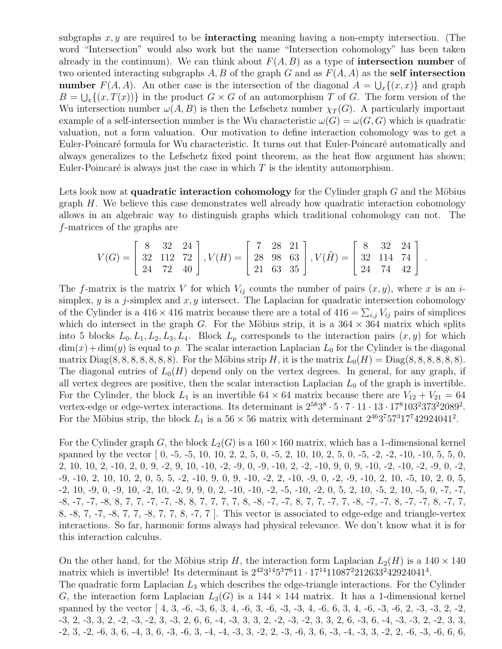subgraphs  $x, y$  are required to be **interacting** meaning having a non-empty intersection. (The word "Intersection" would also work but the name "Intersection cohomology" has been taken already in the continuum). We can think about  $F(A, B)$  as a type of **intersection number** of two oriented interacting subgraphs A, B of the graph G and as  $F(A, A)$  as the self intersection **number**  $F(A, A)$ . An other case is the intersection of the diagonal  $A = \bigcup_x \{(x, x)\}\$ and graph  $B = \bigcup_{x} \{(x, T(x))\}$  in the product  $G \times G$  of an automorphism T of G. The form version of the Wu intersection number  $\omega(A, B)$  is then the Lefschetz number  $\chi_T(G)$ . A particularly important example of a self-intersection number is the Wu characteristic  $\omega(G) = \omega(G, G)$  which is quadratic valuation, not a form valuation. Our motivation to define interaction cohomology was to get a Euler-Poincaré formula for Wu characteristic. It turns out that Euler-Poincaré automatically and always generalizes to the Lefschetz fixed point theorem, as the heat flow argument has shown; Euler-Poincaré is always just the case in which  $T$  is the identity automorphism.

Lets look now at **quadratic interaction cohomology** for the Cylinder graph  $G$  and the Möbius graph H. We believe this case demonstrates well already how quadratic interaction cohomology allows in an algebraic way to distinguish graphs which traditional cohomology can not. The f-matrices of the graphs are

$$
V(G) = \begin{bmatrix} 8 & 32 & 24 \\ 32 & 112 & 72 \\ 24 & 72 & 40 \end{bmatrix}, V(H) = \begin{bmatrix} 7 & 28 & 21 \\ 28 & 98 & 63 \\ 21 & 63 & 35 \end{bmatrix}, V(\tilde{H}) = \begin{bmatrix} 8 & 32 & 24 \\ 32 & 114 & 74 \\ 24 & 74 & 42 \end{bmatrix}.
$$

The f-matrix is the matrix V for which  $V_{ij}$  counts the number of pairs  $(x, y)$ , where x is an isimplex, y is a j-simplex and  $x, y$  intersect. The Laplacian for quadratic intersection cohomology of the Cylinder is a 416  $\times$  416 matrix because there are a total of 416 =  $\sum_{i,j} V_{ij}$  pairs of simplices which do intersect in the graph G. For the Möbius strip, it is a  $364 \times 364$  matrix which splits into 5 blocks  $L_0, L_1, L_2, L_3, L_4$ . Block  $L_p$  corresponds to the interaction pairs  $(x, y)$  for which  $\dim(x) + \dim(y)$  is equal to p. The scalar interaction Laplacian  $L_0$  for the Cylinder is the diagonal matrix  $Diag(8, 8, 8, 8, 8, 8, 8)$ . For the Möbius strip H, it is the matrix  $L_0(H) = Diag(8, 8, 8, 8, 8, 8)$ . The diagonal entries of  $L_0(H)$  depend only on the vertex degrees. In general, for any graph, if all vertex degrees are positive, then the scalar interaction Laplacian  $L_0$  of the graph is invertible. For the Cylinder, the block  $L_1$  is an invertible 64  $\times$  64 matrix because there are  $V_{12} + V_{21} = 64$ vertex-edge or edge-vertex interactions. Its determinant is  $2^{58}3^8 \cdot 5 \cdot 7 \cdot 11 \cdot 13 \cdot 17^8103^2373^22089^2$ . For the Möbius strip, the block  $L_1$  is a  $56 \times 56$  matrix with determinant  $2^{46}3^757^317^742924041^2$ .

For the Cylinder graph G, the block  $L_2(G)$  is a  $160 \times 160$  matrix, which has a 1-dimensional kernel spanned by the vector [ 0, -5, -5, 10, 10, 2, 2, 5, 0, -5, 2, 10, 10, 2, 5, 0, -5, -2, -2, -10, -10, 5, 5, 0, 2, 10, 10, 2, -10, 2, 0, 9, -2, 9, 10, -10, -2, -9, 0, -9, -10, 2, -2, -10, 9, 0, 9, -10, -2, -10, -2, -9, 0, -2, -9, -10, 2, 10, 10, 2, 0, 5, 5, -2, -10, 9, 0, 9, -10, -2, 2, -10, -9, 0, -2, -9, -10, 2, 10, -5, 10, 2, 0, 5, -2, 10, -9, 0, -9, 10, -2, 10, -2, 9, 9, 0, 2, -10, -10, -2, -5, -10, -2, 0, 5, 2, 10, -5, 2, 10, -5, 0, -7, -7, -8, -7, -7, -8, 8, 7, 7, -7, -8, 8, 7, 7, 7, 7, 7, 8, -8, -7, -7, 8, 7, 7, -7, 7, -8, -7, -7, 8, -7, -7, 8, -7, 7, 8, -8, 7, -7, -8, 7, 7, -8, 7, 7, 8, -7, 7 ]. This vector is associated to edge-edge and triangle-vertex interactions. So far, harmonic forms always had physical relevance. We don't know what it is for this interaction calculus.

On the other hand, for the Möbius strip H, the interaction form Laplacian  $L_2(H)$  is a  $140 \times 140$ matrix which is invertible! Its determinant is  $2^{42}3^{14}5^37^611 \cdot 17^{14}11087^2212633^242924041^4$ . The quadratic form Laplacian  $L_3$  which describes the edge-triangle interactions. For the Cylinder G, the interaction form Laplacian  $L_3(G)$  is a 144  $\times$  144 matrix. It has a 1-dimensional kernel spanned by the vector [ 4, 3, -6, -3, 6, 3, 4, -6, 3, -6, -3, -3, 4, -6, 6, 3, 4, -6, -3, -6, 2, -3, -3, 2, -2, -3, 2, -3, 3, 2, -2, -3, -2, 3, -3, 2, 6, 6, -4, -3, 3, 3, 2, -2, -3, -2, 3, 3, 2, 6, -3, 6, -4, -3, -3, 2, -2, 3, 3, -2, 3, -2, -6, 3, 6, -4, 3, 6, -3, -6, 3, -4, -4, -3, 3, -2, 2, -3, -6, 3, 6, -3, -4, -3, 3, -2, 2, -6, -3, -6, 6, 6,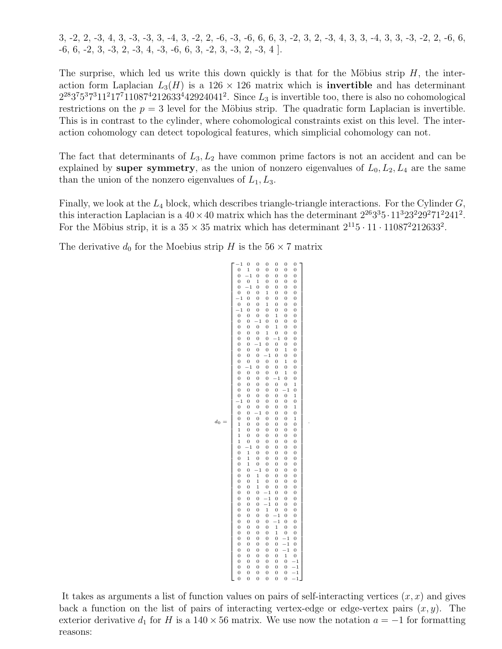3, -2, 2, -3, 4, 3, -3, -3, 3, -4, 3, -2, 2, -6, -3, -6, 6, 6, 3, -2, 3, 2, -3, 4, 3, 3, -4, 3, 3, -3, -2, 2, -6, 6,  $-6, 6, -2, 3, -3, 2, -3, 4, -3, -6, 6, 3, -2, 3, -3, 2, -3, 4$ .

The surprise, which led us write this down quickly is that for the Möbius strip  $H$ , the interaction form Laplacian  $L_3(H)$  is a 126 × 126 matrix which is **invertible** and has determinant  $2^{28}3^75^37^311^217^711087^4212633^442924041^2$ . Since  $L_3$  is invertible too, there is also no cohomological restrictions on the  $p = 3$  level for the Möbius strip. The quadratic form Laplacian is invertible. This is in contrast to the cylinder, where cohomological constraints exist on this level. The interaction cohomology can detect topological features, which simplicial cohomology can not.

The fact that determinants of  $L_3, L_2$  have common prime factors is not an accident and can be explained by super symmetry, as the union of nonzero eigenvalues of  $L_0, L_2, L_4$  are the same than the union of the nonzero eigenvalues of  $L_1, L_3$ .

Finally, we look at the  $L_4$  block, which describes triangle-triangle interactions. For the Cylinder  $G$ , this interaction Laplacian is a  $40 \times 40$  matrix which has the determinant  $2^{26}3^35 \cdot 11^323^229^271^2241^2$ . For the Möbius strip, it is a  $35 \times 35$  matrix which has determinant  $2^{11}5 \cdot 11 \cdot 11087^2 212633^2$ .

The derivative  $d_0$  for the Moebius strip H is the  $56 \times 7$  matrix

```
d_0 =\lceil\overline{\phantom{a}}\overline{1}\overline{1}\overline{1}\overline{1}\overline{1}\overline{1}\overline{1}\overline{1}\overline{1}\overline{1}\overline{1}\overline{1}\overline{1}\overline{1}\overline{1}\overline{1}\overline{1}\overline{1}\overline{1}\overline{1}\overline{1}\overline{1}\overline{1}\overline{1}\overline{1}\overline{1}\overline{1}\overline{1}\overline{1}\overline{1}\overline{1}\overline{1}\overline{1}\overline{1}\overline{1}\overline{1}\overline{1}\overline{1}\overline{1}\overline{1}\overline{1}\overline{1}\overline{1}\overline{1}\overline{1}\overline{1}\overline{1}\overline{1}\overline{1}\overline{1}\overline{1}\overline{1}\overline{1}\overline{1}\overline{1}\overline{1}\overline{1}\overline{1}\overline{1}\begin{array}{cccccccc} -1 & 0 & 0 & 0 & 0 & 0 & 0 \\ 0 & 1 & 0 & 0 & 0 & 0 & 0 \\ 0 & -1 & 0 & 0 & 0 & 0 & 0 \end{array}0 1 0 0 0 0 0
0 −1 0 0 0 0 0
                                      \begin{array}{cccccccc} 0&0&1&0&0&0&0\\ 0&-1&0&0&0&0&0\\ 0&0&0&1&0&0&0\\ -1&0&0&0&0&0&0\\ 0&0&0&1&0&0&0\\ 0&0&0&0&1&0&0\\ 0&0&0&0&1&0&0\\ 0&0&0&0&1&0&0\\ 0&0&0&0&1&0&0\\ 0&0&0&0&-1&0&0\\ 0&0&0&-1&0&0&0\\ 0&0&0&-1&0&0&0\\ 0&0&0&0&-1&0&0\\ 0&0&0&0&-1&\begin{array}{cccccccc} 0 & -1 & 0 & 0 & 0 & 0 & 0 \\ 0 & 0 & 0 & 1 & 0 & 0 & 0 \\ -1 & 0 & 0 & 0 & 0 & 0 & 0 \\ 0 & 0 & 0 & 1 & 0 & 0 & 0 \\ -1 & 0 & 0 & 0 & 0 & 1 & 0 & 0 \\ 0 & 0 & 0 & 0 & 1 & 0 & 0 \end{array}0 0 -1 0 0 0 0<br>0 0 0 0 1 0 0
                                           \begin{array}{ccccccc} 0 & 0 & 0 & 1 & 0 & 0 & 0 \ 0 & 0 & 0 & 0 & -1 & 0 & 0 \ 0 & 0 & -1 & 0 & 0 & 0 & 0 \ 0 & 0 & 0 & 0 & 0 & 1 & 0 \ 0 & 0 & 0 & -1 & 0 & 0 & 0 \end{array}0 0 0 0 0 1 0
                                        \begin{array}{ccccccccc} 0 & 0 & 0 & 0 & 0 & 1 & 0 \\ 0 & -1 & 0 & 0 & 0 & 0 & 0 \\ 0 & 0 & 0 & 0 & 0 & 1 & 0 \end{array}0 0 0 0 0 1 0
                                           \begin{array}{ccccccc} 0 & 0 & 0 & 0 & -1 & 0 & 0 \ 0 & 0 & 0 & 0 & 0 & 0 & 1 \ 0 & 0 & 0 & 0 & 0 & 0 & -1 & 0 \end{array}0 0 0 0 0 0 1
                                      −1 0 0 0 0 0 0
0 0 0 0 0 0 1
                                           0 0 −1 0 0 0 0
                                           0 0 0 0 0 0 1
                                           1 0 0 0 0 0 0
                                                        \begin{array}{cccc} 0 & 0 & 0 & 0 & 0 & 1 \\ 0 & 0 & 0 & 0 & 0 & 0 \\ 0 & 0 & 0 & 0 & 0 & 0 \\ 0 & 0 & 0 & 0 & 0 & 0 \\ 0 & 0 & 0 & 0 & 0 & 0 \\ -1 & 0 & 0 & 0 & 0 & 0 \\ 1 & 0 & 0 & 0 & 0 & 0 \\ 1 & 0 & 0 & 0 & 0 & 0 \\ 1 & 0 & 0 & 0 & 0 & 0 \\ 0 & -1 & 0 & 0 & 0 & 0 \\ \end{array}1 0 0 0 0 0 0
                                           1 0 0 0 0 0 0
                                        \begin{array}{cccccccc} 1 & 0 & 0 & 0 & 0 & 0 & 0 \\ 1 & 0 & 0 & 0 & 0 & 0 & 0 \\ 0 & -1 & 0 & 0 & 0 & 0 & 0 \\ 0 & 1 & 0 & 0 & 0 & 0 & 0 \\ 0 & 1 & 0 & 0 & 0 & 0 & 0 \\ 0 & 1 & 0 & 0 & 0 & 0 & 0 \\ 0 & 0 & -1 & 0 & 0 & 0 & 0 \\ \end{array}0 1 0 0 0 0 0
0 1 0 0 0 0 0
                                           \begin{array}{ccccccc} 0 & 1 & 0 & 0 & 0 & 0 & 0 \\ 0 & 0 & -1 & 0 & 0 & 0 & 0 \end{array}\begin{array}{cccccccc} 0 & 0 & 1 & 0 & 0 & 0 & 0 \\ 0 & 0 & 1 & 0 & 0 & 0 & 0 \\ 0 & 0 & 1 & 0 & 0 & 0 & 0 \\ \end{array}0 0 1 0 0 0 0
                                           0 0 1 0 0 0 0
                                           0 0 0 −1 0 0 0
                                        \begin{array}{cccccc} 0 & 0 & 0 & -1 & 0 & 0 & 0 \\ 0 & 0 & 0 & -1 & 0 & 0 & 0 \\ 0 & 0 & 0 & -1 & 0 & 0 & 0 \end{array}-1 \ 0 \ 1 \ 0\begin{array}{cccccccc} 0 & 0 & 0 & 1 & 0 & 0 & 0 \\ 0 & 0 & 0 & 0 & -1 & 0 & 0 \\ 0 & 0 & 0 & 0 & 1 & 0 & 0 \\ 0 & 0 & 0 & 0 & 1 & 0 & 0 \\ 0 & 0 & 0 & 0 & 0 & -1 & 0 \\ 0 & 0 & 0 & 0 & 0 & -1 & 0 \\ 0 & 0 & 0 & 0 & 0 & -1 & 0 \end{array}\begin{array}{cccccccc} 0 & 0 & 0 & 1 & 0 & 0 & 0 \\ 0 & 0 & 0 & 0 & -1 & 0 & 0 \\ 0 & 0 & 0 & 0 & -1 & 0 & 0 \\ 0 & 0 & 0 & 0 & 1 & 0 & 0 \\ 0 & 0 & 0 & 0 & 1 & 0 & 0 \\ 0 & 0 & 0 & 0 & 0 & -1 & 0 \\ 0 & 0 & 0 & 0 & 0 & -1 & 0 \\ 0 & 0 & 0 & 0 & 0 & 0 & -1 \\ 0 & 0 & 0 & 0 & 0 & 0 & -1 \\ 0 & 0 & 0 & 0 & 0 & 0 & -1 \\ 0\begin{array}{ccccccc} 0 & 0 & 0 & 0 & 0 & -1 \ 0 & 0 & 0 & 0 & 0 & 0 & -1 \ 0 & 0 & 0 & 0 & 0 & 0 & -1 \ 0 & 0 & 0 & 0 & 0 & 0 & -1 \end{array}1
                                                                                                                                                           \overline{1}\overline{1}\overline{1}\overline{1}\overline{1}\overline{1}\overline{1}\perp\overline{1}\overline{1}\overline{1}\overline{1}\overline{1}\overline{1}\overline{1}\overline{1}\overline{1}\overline{1}\overline{1}\overline{1}\overline{1}\overline{1}\overline{1}\perp\overline{1}\overline{1}\overline{1}\overline{1}\overline{1}\overline{1}\overline{1}\overline{1}\overline{1}\overline{1}\overline{1}\overline{1}\overline{1}\overline{1}\overline{1}\overline{1}\perp\overline{1}\overline{1}\overline{1}\overline{1}\overline{1}\overline{1}\overline{1}\overline{1}\overline{1}\overline{1}\overline{1}\overline{1}\overline{1}\overline{1}\overline{1}\begin{array}{c} \begin{array}{c} \begin{array}{c} \end{array} \\ \begin{array}{c} \end{array} \end{array} \end{array}
```
.

It takes as arguments a list of function values on pairs of self-interacting vertices  $(x, x)$  and gives back a function on the list of pairs of interacting vertex-edge or edge-vertex pairs  $(x, y)$ . The exterior derivative  $d_1$  for H is a 140 × 56 matrix. We use now the notation  $a = -1$  for formatting reasons: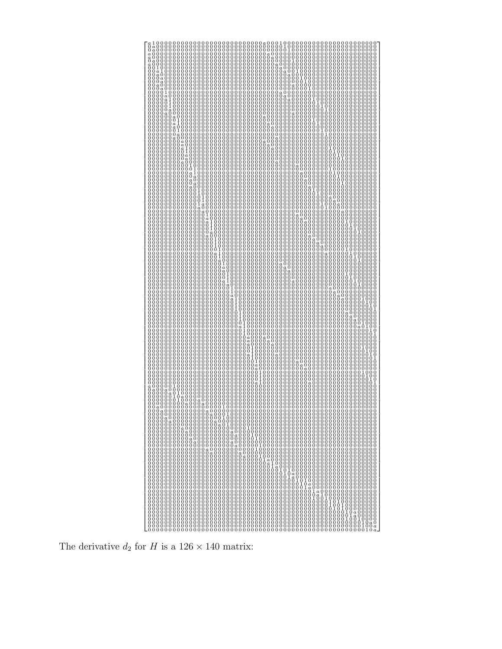

The derivative  $d_2$  for H is a 126  $\times$  140 matrix: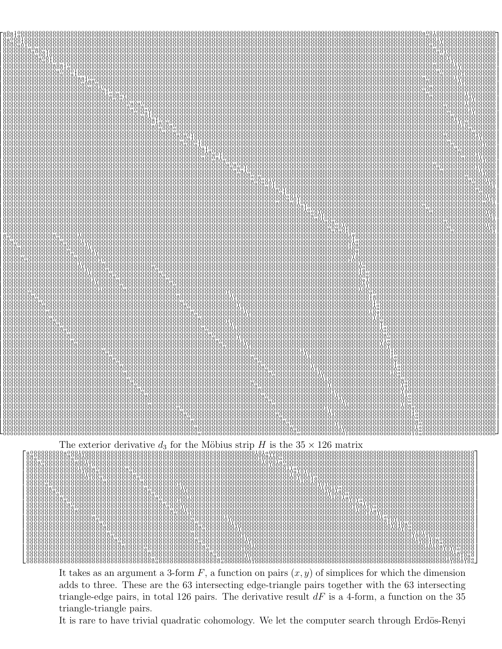

It takes as an argument a 3-form F, a function on pairs  $(x, y)$  of simplices for which the dimension adds to three. These are the 63 intersecting edge-triangle pairs together with the 63 intersecting triangle-edge pairs, in total 126 pairs. The derivative result  $dF$  is a 4-form, a function on the 35 triangle-triangle pairs.

It is rare to have trivial quadratic cohomology. We let the computer search through Erdös-Renyi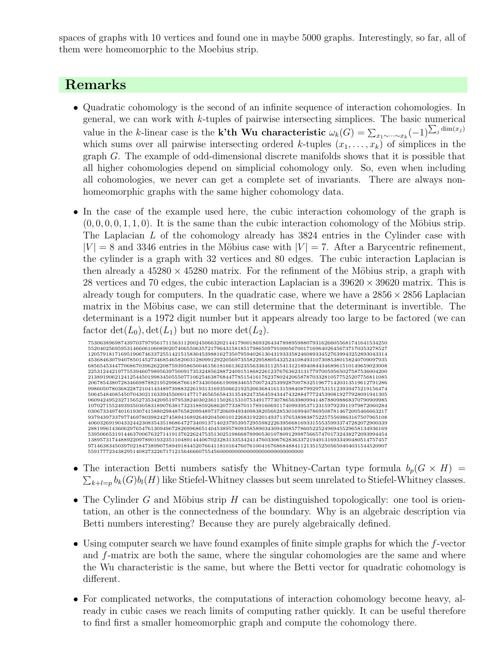spaces of graphs with 10 vertices and found one in maybe 5000 graphs. Interestingly, so far, all of them were homeomorphic to the Moebius strip.

## Remarks

- Quadratic cohomology is the second of an infinite sequence of interaction cohomologies. In general, we can work with k-tuples of pairwise intersecting simplices. The basic numerical value in the k-linear case is the **k'th Wu characteristic**  $\omega_k(G) = \sum_{x_1 \sim \cdots \sim x_k} (-1)^{\sum_j \dim(x_j)}$ which sums over all pairwise intersecting ordered k-tuples  $(x_1, \ldots, x_k)$  of simplices in the graph G. The example of odd-dimensional discrete manifolds shows that it is possible that all higher cohomologies depend on simplicial cohomology only. So, even when including all cohomologies, we never can get a complete set of invariants. There are always nonhomeomorphic graphs with the same higher cohomology data.
- In the case of the example used here, the cubic interaction cohomology of the graph is  $(0, 0, 0, 0, 1, 1, 0)$ . It is the same than the cubic interaction cohomology of the Möbius strip. The Laplacian L of the cohomology already has 3824 entries in the Cylinder case with  $|V| = 8$  and 3346 entries in the Möbius case with  $|V| = 7$ . After a Barycentric refinement, the cylinder is a graph with 32 vertices and 80 edges. The cubic interaction Laplacian is then already a  $45280 \times 45280$  matrix. For the refinment of the Möbius strip, a graph with 28 vertices and 70 edges, the cubic interaction Laplacian is a  $39620 \times 39620$  matrix. This is already tough for computers. In the quadratic case, where we have a  $2856 \times 2856$  Laplacian matrix in the Möbius case, we can still determine that the determinant is invertible. The determinant is a 1972 digit number but it appears already too large to be factored (we can factor  $\det(L_0)$ ,  $\det(L_1)$  but no more  $\det(L_2)$ .



- The interaction Betti numbers satisfy the Whitney-Cartan type formula  $b_p(G \times H)$  =  $\sum_{k+l=p} b_k(G) b_l(H)$  like Stiefel-Whitney classes but seem unrelated to Stiefel-Whitney classes.
- The Cylinder G and Möbius strip H can be distinguished topologically: one tool is orientation, an other is the connectedness of the boundary. Why is an algebraic description via Betti numbers interesting? Because they are purely algebraically defined.
- Using computer search we have found examples of finite simple graphs for which the f-vector and f-matrix are both the same, where the singular cohomologies are the same and where the Wu characteristic is the same, but where the Betti vector for quadratic cohomology is different.
- For complicated networks, the computations of interaction cohomology become heavy, already in cubic cases we reach limits of computing rather quickly. It can be useful therefore to find first a smaller homeomorphic graph and compute the cohomology there.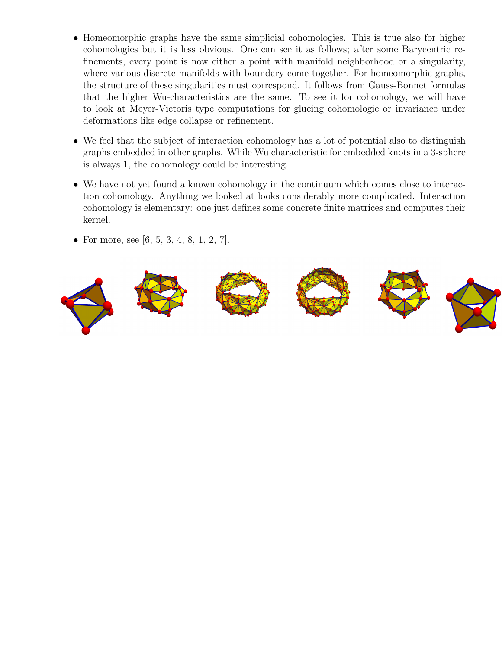- Homeomorphic graphs have the same simplicial cohomologies. This is true also for higher cohomologies but it is less obvious. One can see it as follows; after some Barycentric refinements, every point is now either a point with manifold neighborhood or a singularity, where various discrete manifolds with boundary come together. For homeomorphic graphs, the structure of these singularities must correspond. It follows from Gauss-Bonnet formulas that the higher Wu-characteristics are the same. To see it for cohomology, we will have to look at Meyer-Vietoris type computations for glueing cohomologie or invariance under deformations like edge collapse or refinement.
- We feel that the subject of interaction cohomology has a lot of potential also to distinguish graphs embedded in other graphs. While Wu characteristic for embedded knots in a 3-sphere is always 1, the cohomology could be interesting.
- We have not yet found a known cohomology in the continuum which comes close to interaction cohomology. Anything we looked at looks considerably more complicated. Interaction cohomology is elementary: one just defines some concrete finite matrices and computes their kernel.
- For more, see [6, 5, 3, 4, 8, 1, 2, 7].

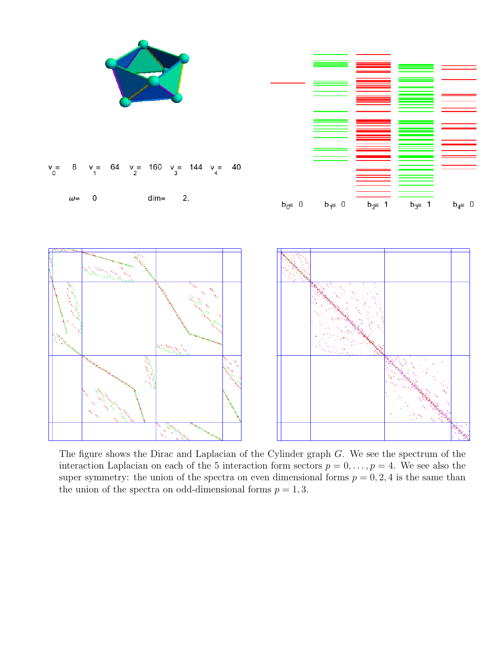

The figure shows the Dirac and Laplacian of the Cylinder graph G. We see the spectrum of the interaction Laplacian on each of the 5 interaction form sectors  $p = 0, \ldots, p = 4$ . We see also the super symmetry: the union of the spectra on even dimensional forms  $p = 0, 2, 4$  is the same than the union of the spectra on odd-dimensional forms  $p = 1, 3$ .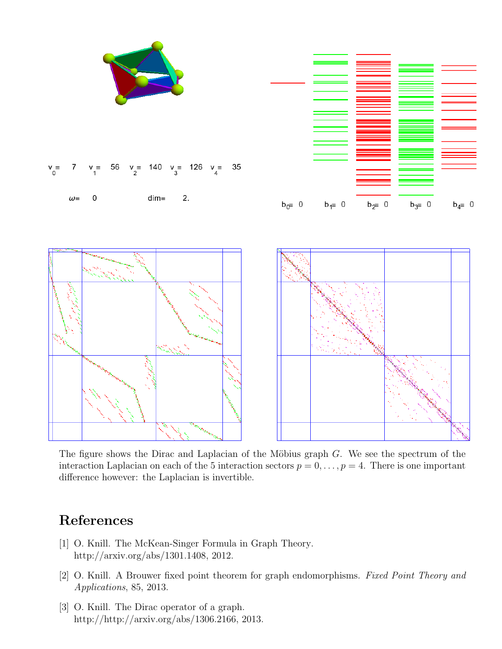

The figure shows the Dirac and Laplacian of the Möbius graph  $G$ . We see the spectrum of the interaction Laplacian on each of the 5 interaction sectors  $p = 0, \ldots, p = 4$ . There is one important difference however: the Laplacian is invertible.

## References

- [1] O. Knill. The McKean-Singer Formula in Graph Theory. http://arxiv.org/abs/1301.1408, 2012.
- [2] O. Knill. A Brouwer fixed point theorem for graph endomorphisms. Fixed Point Theory and Applications, 85, 2013.
- [3] O. Knill. The Dirac operator of a graph. http://http://arxiv.org/abs/1306.2166, 2013.